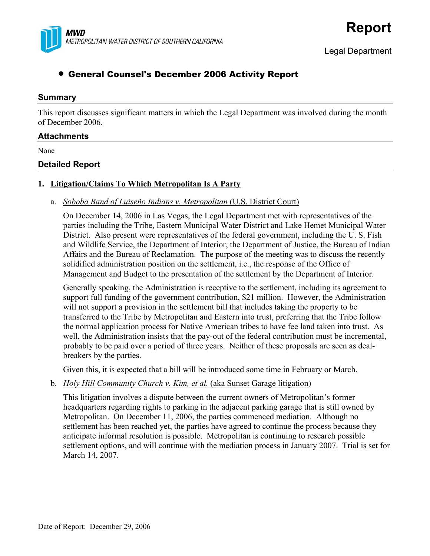

# • General Counsel's December 2006 Activity Report

#### **Summary**

This report discusses significant matters in which the Legal Department was involved during the month of December 2006.

#### **Attachments**

None

### **Detailed Report**

#### **1. Litigation/Claims To Which Metropolitan Is A Party**

a. *Soboba Band of Luiseño Indians v. Metropolitan* (U.S. District Court)

On December 14, 2006 in Las Vegas, the Legal Department met with representatives of the parties including the Tribe, Eastern Municipal Water District and Lake Hemet Municipal Water District. Also present were representatives of the federal government, including the U. S. Fish and Wildlife Service, the Department of Interior, the Department of Justice, the Bureau of Indian Affairs and the Bureau of Reclamation. The purpose of the meeting was to discuss the recently solidified administration position on the settlement, i.e., the response of the Office of Management and Budget to the presentation of the settlement by the Department of Interior.

Generally speaking, the Administration is receptive to the settlement, including its agreement to support full funding of the government contribution, \$21 million. However, the Administration will not support a provision in the settlement bill that includes taking the property to be transferred to the Tribe by Metropolitan and Eastern into trust, preferring that the Tribe follow the normal application process for Native American tribes to have fee land taken into trust. As well, the Administration insists that the pay-out of the federal contribution must be incremental, probably to be paid over a period of three years. Neither of these proposals are seen as dealbreakers by the parties.

Given this, it is expected that a bill will be introduced some time in February or March.

b. *Holy Hill Community Church v. Kim, et al.* (aka Sunset Garage litigation)

This litigation involves a dispute between the current owners of Metropolitan's former headquarters regarding rights to parking in the adjacent parking garage that is still owned by Metropolitan. On December 11, 2006, the parties commenced mediation. Although no settlement has been reached yet, the parties have agreed to continue the process because they anticipate informal resolution is possible. Metropolitan is continuing to research possible settlement options, and will continue with the mediation process in January 2007. Trial is set for March 14, 2007.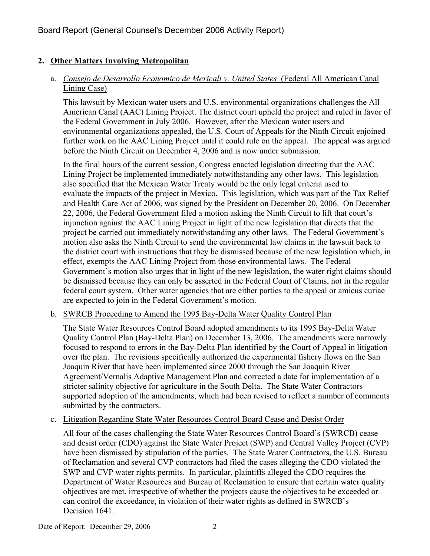# **2. Other Matters Involving Metropolitan**

### a. *Consejo de Desarrollo Economico de Mexicali v. United States* (Federal All American Canal Lining Case)

This lawsuit by Mexican water users and U.S. environmental organizations challenges the All American Canal (AAC) Lining Project. The district court upheld the project and ruled in favor of the Federal Government in July 2006. However, after the Mexican water users and environmental organizations appealed, the U.S. Court of Appeals for the Ninth Circuit enjoined further work on the AAC Lining Project until it could rule on the appeal. The appeal was argued before the Ninth Circuit on December 4, 2006 and is now under submission.

In the final hours of the current session, Congress enacted legislation directing that the AAC Lining Project be implemented immediately notwithstanding any other laws. This legislation also specified that the Mexican Water Treaty would be the only legal criteria used to evaluate the impacts of the project in Mexico. This legislation, which was part of the Tax Relief and Health Care Act of 2006, was signed by the President on December 20, 2006. On December 22, 2006, the Federal Government filed a motion asking the Ninth Circuit to lift that court's injunction against the AAC Lining Project in light of the new legislation that directs that the project be carried out immediately notwithstanding any other laws. The Federal Government's motion also asks the Ninth Circuit to send the environmental law claims in the lawsuit back to the district court with instructions that they be dismissed because of the new legislation which, in effect, exempts the AAC Lining Project from those environmental laws. The Federal Government's motion also urges that in light of the new legislation, the water right claims should be dismissed because they can only be asserted in the Federal Court of Claims, not in the regular federal court system. Other water agencies that are either parties to the appeal or amicus curiae are expected to join in the Federal Government's motion.

### b. SWRCB Proceeding to Amend the 1995 Bay-Delta Water Quality Control Plan

The State Water Resources Control Board adopted amendments to its 1995 Bay-Delta Water Quality Control Plan (Bay-Delta Plan) on December 13, 2006. The amendments were narrowly focused to respond to errors in the Bay-Delta Plan identified by the Court of Appeal in litigation over the plan. The revisions specifically authorized the experimental fishery flows on the San Joaquin River that have been implemented since 2000 through the San Joaquin River Agreement/Vernalis Adaptive Management Plan and corrected a date for implementation of a stricter salinity objective for agriculture in the South Delta. The State Water Contractors supported adoption of the amendments, which had been revised to reflect a number of comments submitted by the contractors.

### c. Litigation Regarding State Water Resources Control Board Cease and Desist Order

All four of the cases challenging the State Water Resources Control Board's (SWRCB) cease and desist order (CDO) against the State Water Project (SWP) and Central Valley Project (CVP) have been dismissed by stipulation of the parties. The State Water Contractors, the U.S. Bureau of Reclamation and several CVP contractors had filed the cases alleging the CDO violated the SWP and CVP water rights permits. In particular, plaintiffs alleged the CDO requires the Department of Water Resources and Bureau of Reclamation to ensure that certain water quality objectives are met, irrespective of whether the projects cause the objectives to be exceeded or can control the exceedance, in violation of their water rights as defined in SWRCB's Decision 1641.

Date of Report: December 29, 2006 2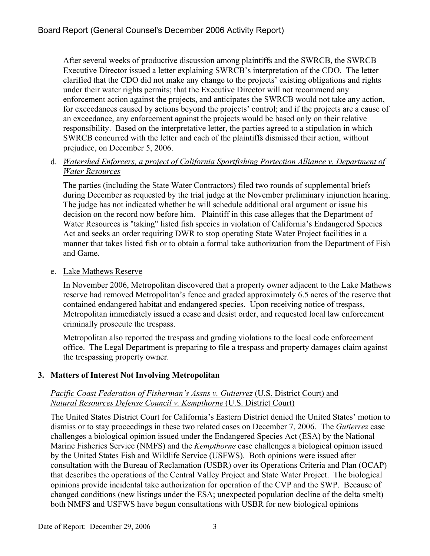After several weeks of productive discussion among plaintiffs and the SWRCB, the SWRCB Executive Director issued a letter explaining SWRCB's interpretation of the CDO. The letter clarified that the CDO did not make any change to the projects' existing obligations and rights under their water rights permits; that the Executive Director will not recommend any enforcement action against the projects, and anticipates the SWRCB would not take any action, for exceedances caused by actions beyond the projects' control; and if the projects are a cause of an exceedance, any enforcement against the projects would be based only on their relative responsibility. Based on the interpretative letter, the parties agreed to a stipulation in which SWRCB concurred with the letter and each of the plaintiffs dismissed their action, without prejudice, on December 5, 2006.

### d. *Watershed Enforcers, a project of California Sportfishing Portection Alliance v. Department of Water Resources*

The parties (including the State Water Contractors) filed two rounds of supplemental briefs during December as requested by the trial judge at the November preliminary injunction hearing. The judge has not indicated whether he will schedule additional oral argument or issue his decision on the record now before him. Plaintiff in this case alleges that the Department of Water Resources is "taking" listed fish species in violation of California's Endangered Species Act and seeks an order requiring DWR to stop operating State Water Project facilities in a manner that takes listed fish or to obtain a formal take authorization from the Department of Fish and Game.

### e. Lake Mathews Reserve

In November 2006, Metropolitan discovered that a property owner adjacent to the Lake Mathews reserve had removed Metropolitan's fence and graded approximately 6.5 acres of the reserve that contained endangered habitat and endangered species. Upon receiving notice of trespass, Metropolitan immediately issued a cease and desist order, and requested local law enforcement criminally prosecute the trespass.

Metropolitan also reported the trespass and grading violations to the local code enforcement office. The Legal Department is preparing to file a trespass and property damages claim against the trespassing property owner.

## **3. Matters of Interest Not Involving Metropolitan**

### *Pacific Coast Federation of Fisherman's Assns v. Gutierrez* (U.S. District Court) and *Natural Resources Defense Council v. Kempthorne* (U.S. District Court)

The United States District Court for California's Eastern District denied the United States' motion to dismiss or to stay proceedings in these two related cases on December 7, 2006. The *Gutierrez* case challenges a biological opinion issued under the Endangered Species Act (ESA) by the National Marine Fisheries Service (NMFS) and the *Kempthorne* case challenges a biological opinion issued by the United States Fish and Wildlife Service (USFWS). Both opinions were issued after consultation with the Bureau of Reclamation (USBR) over its Operations Criteria and Plan (OCAP) that describes the operations of the Central Valley Project and State Water Project. The biological opinions provide incidental take authorization for operation of the CVP and the SWP. Because of changed conditions (new listings under the ESA; unexpected population decline of the delta smelt) both NMFS and USFWS have begun consultations with USBR for new biological opinions